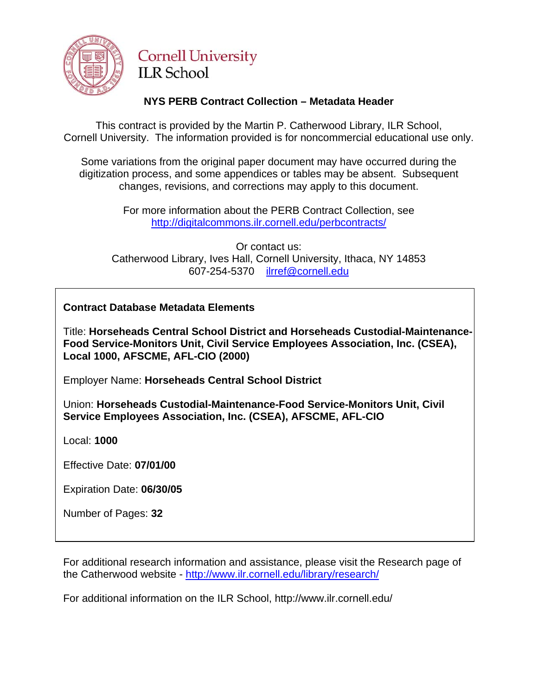

# **Cornell University ILR** School

# **NYS PERB Contract Collection – Metadata Header**

This contract is provided by the Martin P. Catherwood Library, ILR School, Cornell University. The information provided is for noncommercial educational use only.

Some variations from the original paper document may have occurred during the digitization process, and some appendices or tables may be absent. Subsequent changes, revisions, and corrections may apply to this document.

> For more information about the PERB Contract Collection, see http://digitalcommons.ilr.cornell.edu/perbcontracts/

Or contact us: Catherwood Library, Ives Hall, Cornell University, Ithaca, NY 14853 607-254-5370 [ilrref@cornell.edu](mailto:ilrref@cornell.edu)

**Contract Database Metadata Elements** 

Title: **Horseheads Central School District and Horseheads Custodial-Maintenance-Food Service-Monitors Unit, Civil Service Employees Association, Inc. (CSEA), Local 1000, AFSCME, AFL-CIO (2000)**

Employer Name: **Horseheads Central School District**

Union: **Horseheads Custodial-Maintenance-Food Service-Monitors Unit, Civil Service Employees Association, Inc. (CSEA), AFSCME, AFL-CIO**

Local: **1000** 

Effective Date: **07/01/00**

Expiration Date: **06/30/05**

Number of Pages: **32**

For additional research information and assistance, please visit the Research page of the Catherwood website -<http://www.ilr.cornell.edu/library/research/>

For additional information on the ILR School, http://www.ilr.cornell.edu/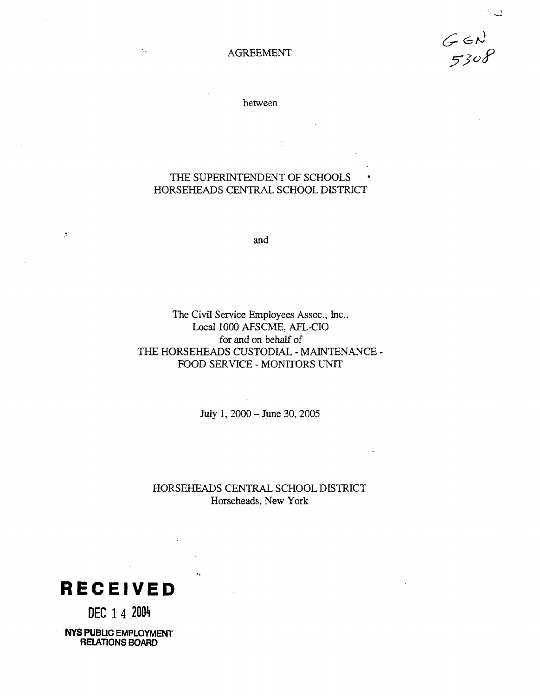$G \in N$ <br>5308

## AGREEMENT

 $\mathcal{N}_{\rm eff}$ 

 $\overline{\phantom{a}}$ 

between

 $\sim 10^{-11}$ 

 $\sim 10^{11}$ 

# THE SUPERINTENDENT OF SCHOOLS HORSEHEADS CENTRAL SCHOOL DISTRICT

and

The Civil Service Employees Assoc., Inc., Local 1000 AFSCME, AFL-CIO for and on behalf of THE HORSEHEADS CUSTODIAL - MAINTENANCE -FOOD SERVICE - MONITORS UNIT

July 1,2000 - June 30,2005

HORSEHEADS CENTRAL SCHOOL DISTRICT Horseheads, New York

# **RECEIVED**

DEC 1 4 2004

**BYS PUBLIC EMPLOYMENT RELATIONS BOARD**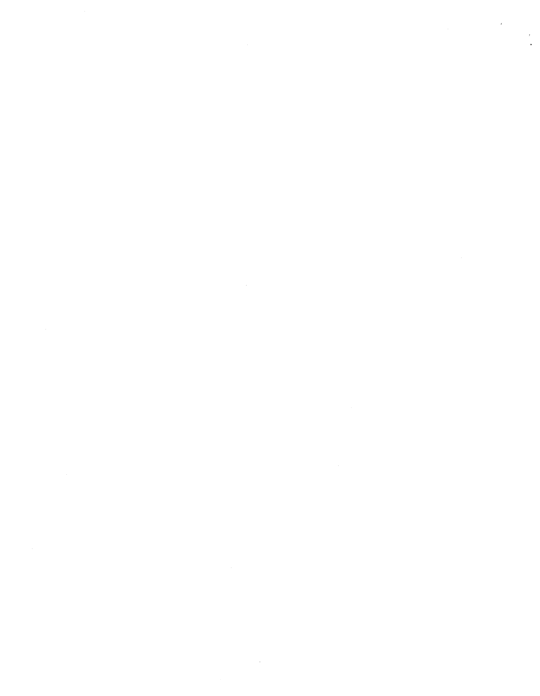$\frac{1}{2} \left( \frac{1}{2} \right)$ 

 $\frac{1}{\sqrt{2}}$ 

 $\mathcal{L}^{\text{max}}_{\text{max}}$  ,  $\mathcal{L}^{\text{max}}_{\text{max}}$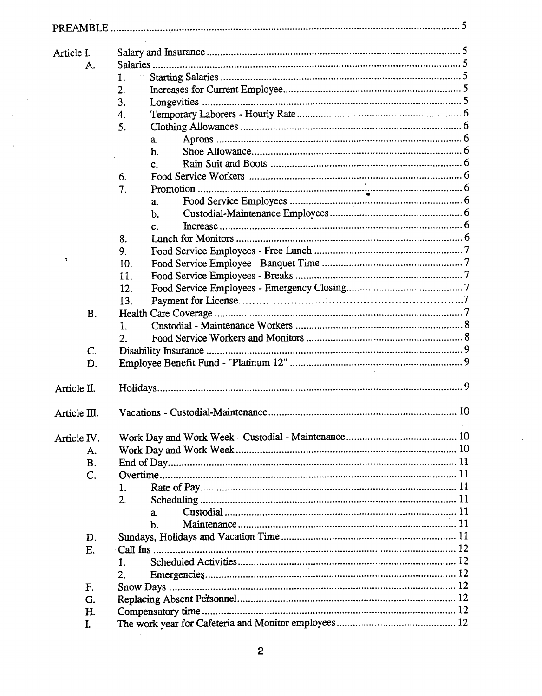| Article I.   |                          |  |
|--------------|--------------------------|--|
| A.           |                          |  |
|              | 1.                       |  |
|              | 2.                       |  |
|              | 3.                       |  |
|              | 4.                       |  |
|              | 5.                       |  |
|              | a.                       |  |
|              | $\mathbf b$ .            |  |
|              | c.                       |  |
|              | 6.                       |  |
|              | Promotion $\cdots$<br>7. |  |
|              |                          |  |
|              | $a_{\cdot}$              |  |
|              | b.                       |  |
|              | $\mathbf{c}$ .           |  |
|              | 8.                       |  |
| ÷.           | 9.                       |  |
|              | 10.                      |  |
|              | 11.                      |  |
|              | $-12.$                   |  |
|              | 13.                      |  |
| <b>B.</b>    |                          |  |
|              | 1.                       |  |
|              | $\overline{2}$ .         |  |
| $C_{\cdot}$  |                          |  |
| D.           |                          |  |
| Article II.  |                          |  |
| Article III. |                          |  |
|              |                          |  |
| Article IV.  |                          |  |
| A.           |                          |  |
| B.           |                          |  |
| C.           |                          |  |
|              | Ι.                       |  |
|              | $\overline{2}$ .         |  |
|              | a.                       |  |
|              | b.                       |  |
| D.           |                          |  |
| E.           |                          |  |
|              | 1.                       |  |
|              | $\overline{2}$ .         |  |
| F.           |                          |  |
| G.           |                          |  |
| Η.           |                          |  |
|              |                          |  |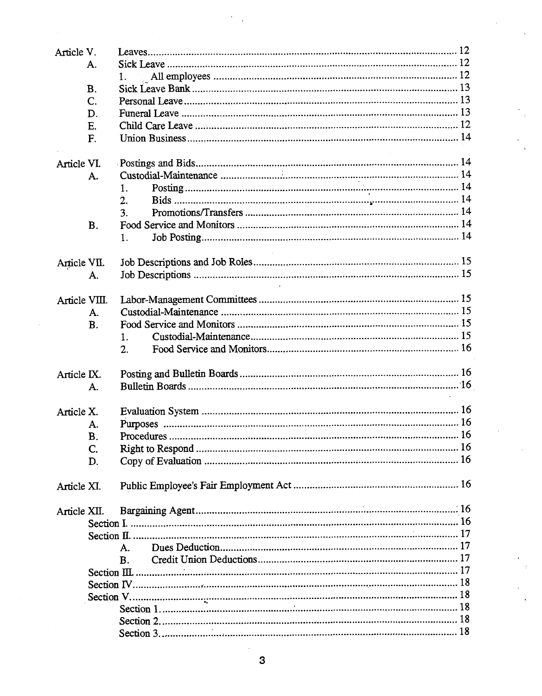| Article V.    |             |                |  |
|---------------|-------------|----------------|--|
|               | A.          |                |  |
|               |             | 1.             |  |
|               | <b>B.</b>   |                |  |
|               | $C_{\cdot}$ |                |  |
|               | D.          |                |  |
|               | Ε.          |                |  |
|               | F.          |                |  |
|               |             |                |  |
| Article VI.   |             |                |  |
|               | A.          |                |  |
|               |             | 1.             |  |
|               |             | 2.             |  |
|               |             | 3.             |  |
|               | <b>B.</b>   |                |  |
|               |             | 1.             |  |
|               |             |                |  |
| Article VII.  |             |                |  |
|               | $A_{\cdot}$ |                |  |
|               |             |                |  |
| Article VIII. |             |                |  |
|               | A.          |                |  |
|               | <b>B.</b>   |                |  |
|               |             | $\mathbf{1}$ . |  |
|               |             | 2.             |  |
| Article IX.   |             |                |  |
|               |             |                |  |
|               | A.          |                |  |
| Article X.    |             |                |  |
|               | А.          |                |  |
|               | B           |                |  |
|               | C.          |                |  |
|               | D.          |                |  |
|               |             |                |  |
| Article XI.   |             |                |  |
|               |             |                |  |
| Article XII.  |             |                |  |
|               |             |                |  |
|               |             |                |  |
|               |             | A.             |  |
|               |             | B <sub>1</sub> |  |
|               |             |                |  |
|               |             |                |  |
|               |             |                |  |
|               |             |                |  |
|               |             |                |  |
|               |             |                |  |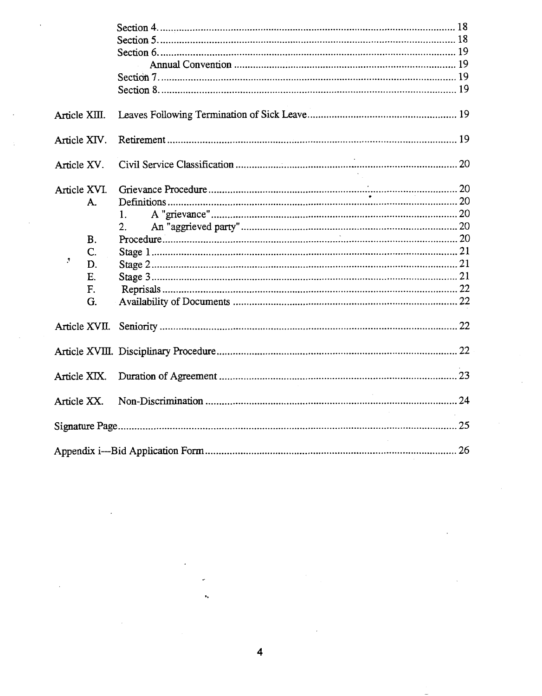| Article XIII.       |             |  |
|---------------------|-------------|--|
| Article XIV.        |             |  |
| Article XV.         |             |  |
| Article XVI.        |             |  |
| А.                  |             |  |
|                     |             |  |
|                     | $2^{\circ}$ |  |
| <b>B.</b>           |             |  |
| C.                  |             |  |
| $\mathcal{I}$<br>D. |             |  |
| E.                  |             |  |
| F.                  |             |  |
| G.                  |             |  |
|                     |             |  |
|                     |             |  |
| Article XIX.        |             |  |
| Article XX.         |             |  |
|                     |             |  |
|                     |             |  |

 $\label{eq:2.1} \frac{1}{\sqrt{2}}\int_{\mathbb{R}^3}\frac{1}{\sqrt{2}}\left(\frac{1}{\sqrt{2}}\right)^2\frac{1}{\sqrt{2}}\left(\frac{1}{\sqrt{2}}\right)^2\frac{1}{\sqrt{2}}\left(\frac{1}{\sqrt{2}}\right)^2\frac{1}{\sqrt{2}}\left(\frac{1}{\sqrt{2}}\right)^2.$ 

 $\label{eq:2.1} \mathcal{L}(\mathcal{L}) = \mathcal{L}(\mathcal{L}) \mathcal{L}(\mathcal{L}) = \mathcal{L}(\mathcal{L}) \mathcal{L}(\mathcal{L})$ 

 $\label{eq:2.1} \mathcal{L}_{\mathcal{A}}(\mathcal{A}) = \mathcal{L}_{\mathcal{A}}(\mathcal{A}) = \mathcal{L}_{\mathcal{A}}(\mathcal{A})$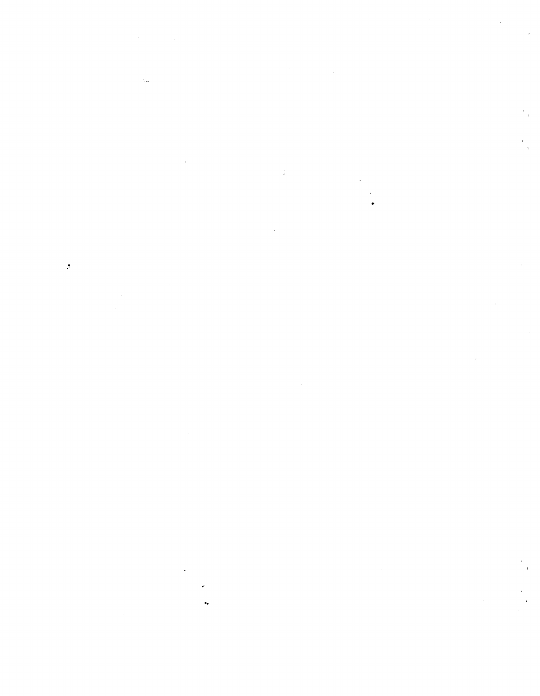$\label{eq:2.1} \frac{1}{\sqrt{2}}\int_{\mathbb{R}^3}\frac{1}{\sqrt{2}}\left(\frac{1}{\sqrt{2}}\right)^2\frac{1}{\sqrt{2}}\left(\frac{1}{\sqrt{2}}\right)^2\frac{1}{\sqrt{2}}\left(\frac{1}{\sqrt{2}}\right)^2\frac{1}{\sqrt{2}}\left(\frac{1}{\sqrt{2}}\right)^2\frac{1}{\sqrt{2}}\left(\frac{1}{\sqrt{2}}\right)^2\frac{1}{\sqrt{2}}\frac{1}{\sqrt{2}}\frac{1}{\sqrt{2}}\frac{1}{\sqrt{2}}\frac{1}{\sqrt{2}}\frac{1}{\sqrt{2}}$  $\sigma_{\rm{max}}$ 

 $\label{eq:2.1} \frac{1}{\sqrt{2\pi}}\int_{0}^{\infty}\frac{1}{\sqrt{2\pi}}\left(\frac{1}{\sqrt{2\pi}}\right)^{2\alpha} \frac{1}{\sqrt{2\pi}}\int_{0}^{\infty}\frac{1}{\sqrt{2\pi}}\frac{1}{\sqrt{2\pi}}\frac{1}{\sqrt{2\pi}}\frac{1}{\sqrt{2\pi}}\frac{1}{\sqrt{2\pi}}\frac{1}{\sqrt{2\pi}}\frac{1}{\sqrt{2\pi}}\frac{1}{\sqrt{2\pi}}\frac{1}{\sqrt{2\pi}}\frac{1}{\sqrt{2\pi}}\frac{1}{\sqrt{2\pi}}\frac{$ 

 $\label{eq:2} \frac{1}{\sqrt{2}}\sum_{i=1}^n\frac{1}{\sqrt{2}}\sum_{i=1}^n\frac{1}{\sqrt{2}}\sum_{i=1}^n\frac{1}{\sqrt{2}}\sum_{i=1}^n\frac{1}{\sqrt{2}}\sum_{i=1}^n\frac{1}{\sqrt{2}}\sum_{i=1}^n\frac{1}{\sqrt{2}}\sum_{i=1}^n\frac{1}{\sqrt{2}}\sum_{i=1}^n\frac{1}{\sqrt{2}}\sum_{i=1}^n\frac{1}{\sqrt{2}}\sum_{i=1}^n\frac{1}{\sqrt{2}}\sum_{i=1}^n\frac{1$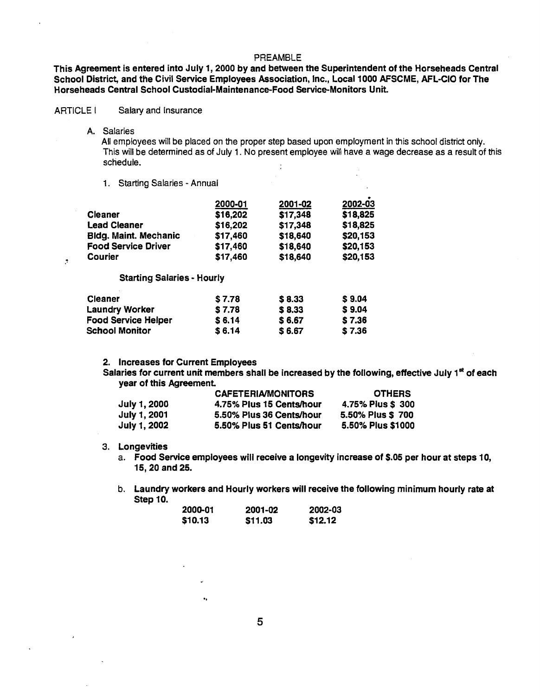# PREAMBLE

This Agreement is entered into July **1,2000** by and between the Superintendent of the Horseheads Central School District, and the Civil Service Employees Association, Inc., Local **1000** AFSCME, AFL-CIO for The **Horseheads Central School Custodial-Maintenance-Food Service-Monitors Unit.** 

# ARTICLE I Salary and Insurance

A. Salaries

 $\frac{1}{2}$ 

All employees will be placed on the proper step based upon employment in this school district only. This will be determined as of July 1. No present employee will have a wage decrease as a result of this schedule.  $\frac{1}{2}$ 

1. Starting Salaries - Annual

| <b>Cleaner</b><br><b>Lead Cleaner</b> | 2000-01<br>\$16,202<br>\$16,202 | 2001-02<br>\$17,348<br>\$17,348 | 2002-03<br>\$18,825<br>\$18,825 |
|---------------------------------------|---------------------------------|---------------------------------|---------------------------------|
| <b>Bldg. Maint. Mechanic</b>          | \$17,460                        | \$18,640                        | \$20,153                        |
| <b>Food Service Driver</b>            | \$17,460                        | \$18,640                        | \$20,153                        |
| Courier                               | \$17,460                        | \$18,640                        | \$20,153                        |
| <b>Starting Salaries - Hourly</b>     |                                 |                                 |                                 |
| <b>Cleaner</b>                        | \$7.78                          | \$8.33                          | \$9.04                          |
| <b>Laundry Worker</b>                 | \$7.78                          | \$8.33                          | \$9.04                          |
| <b>Food Service Helper</b>            | \$6.14                          | \$6.67                          | \$7.36                          |

School Monitor **\$6.14 \$6.67 \$7.36** 

# **2.** Increases for Current Employees

Salaries for current unit members shall be increased by the following, effective July **I\*** of each year of this Agreement.

|              | <b>CAFETERIA/MONITORS</b> | <b>OTHERS</b>     |
|--------------|---------------------------|-------------------|
| July 1, 2000 | 4.75% Plus 15 Cents/hour  | 4.75% Plus \$ 300 |
| July 1, 2001 | 5.50% Plus 36 Cents/hour  | 5.50% Plus \$ 700 |
| July 1, 2002 | 5.50% Plus 51 Cents/hour  | 5.50% Plus \$1000 |

# 3. Longevities

- a. Food Service employees will receive a longevity increase of **\$.05** per hour at steps **10, 15,20** and **25.**
- b. Laundry workers and Hourly workers will receive the following minimum hourly rate at Step **10.**

| 2000-01 | 2001-02 | 2002-03 |
|---------|---------|---------|
| \$10.13 | \$11.03 | \$12.12 |

5

ů.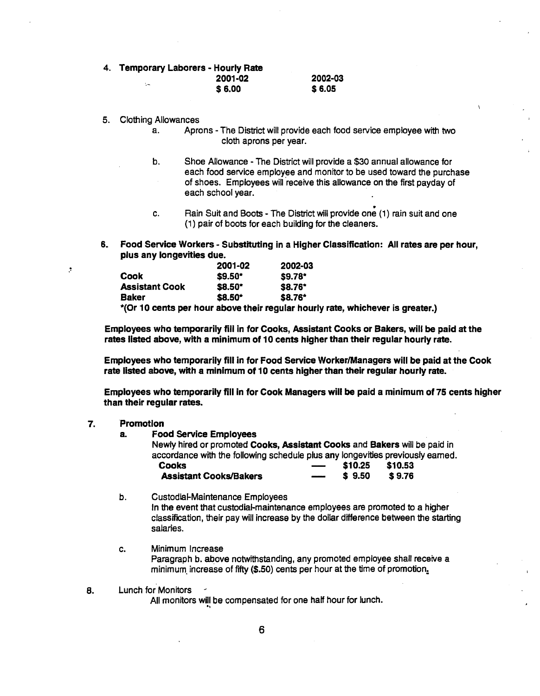4. Temporary Laborers - Hourly Rate

| . <u>.</u> | 2001-02 | 2002-03 |
|------------|---------|---------|
| -          | \$6.00  | \$6.05  |

- 5. Clothing Allowances
	- a. Aprons -The District will provide each food service employee with two cloth aprons per year.
	- b. Shoe Allowance The District will provide a \$30 annual allowance for each food service employee and monitor to be used toward the purchase of shoes. Employees will 'receive this allowance on the first payday of each school year.
	- c. Rain Suit and Boots The District will provide one (1) rain suit and one (1) pair of boots for each building for the cleaners.
- **6.** Food Service Workers Substituting in a Higher Classification: All rates are per hour, plus any longevities due.

|                       | 2001-02        | 2002-03        |
|-----------------------|----------------|----------------|
| Cook                  | \$9.50*        | \$9.78*        |
| <b>Assistant Cook</b> | <b>\$8.50*</b> | <b>\$8.76*</b> |
| <b>Baker</b>          | \$8.50*        | \$8.76*        |

\*(Or **10** cents per hour above their regular hourly rate, whichever is greater.)

Employees who temporarily fill in for Cooks, Assistant Cooks or Bakers, will be paid at the rates listed above, with a minimum of **10** cents higher than their regular hourly rate.

Employees who temporarily fill in for Food Service WorkerManagers will be paid at the Cook rate listed above, with a minimum of **10** cents higher than their regular hourly rate.

Employees who temporarily fill in for Cook Managers will be paid a minimum of **75** cents higher than their regular rates.

# 7. Promotion<br>a. Foc

ż

**Food Service Employees** 

Newly hired or promoted Cooks, Assistant Cooks and Bakers will be paid in accordance with the following schedule plus any longevities previously earned. **Solution: Employees**<br>
Food Service Employees<br>
Example Cooks, Assistant Cooks and Bakers will<br>
Cooks<br>
Cooks<br>
Assistant Cooks/Bakers<br>
Assistant Cooks/Bakers<br>
Assistant Cooks/Bakers<br>
Assistant Cooks/Bakers<br>
Assistant Cooks/B awly hired or promoted **Cooks, Assistant Cooks** and **Bakers** will<br>cordance with the following schedule plus any longevities previous<br>**Cooks** - \$ **9.50** \$ 9.76<br>**Assistant Cooks/Bakers** - \$ 9.50 \$ 9.76

b. Custodial-Maintenance Employees In the event that custodial-maintenance employees are promoted to a higher classification, their pay will increase by the doliar difference between the starting salaries.

c. Minimum Increase Paragraph **b.** above notwithstanding, any promoted employee shall receive a minimum increase of **fifty (\$.50)** cents per hour at the time of promotion,

## 8. Lunch for Monitors

All monitors will be compensated for one half hour for lunch.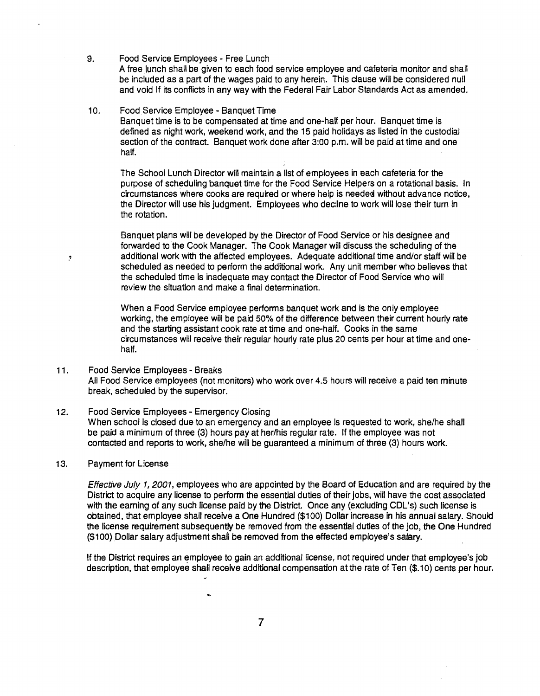**9.** Food Service Employees - Free Lunch

A free.lunch shall be given to each food service employee and cafeteria monitor and shall be included as a part of the wages paid to any herein. This clause will be considered null and void If its conflicts in any way with the Federal Fair Labor Standards Act as amended.

# 10. Food Service Employee - Banquet Time

Banquet time is to be compensated at time and one-half per hour. Banquet time is defined as night work, weekend work, and the 15 paid holidays as listed in the custodial section of the contract. Banquet work done after 3:00 p.m. will be paid at time and one half.

The School Lunch Director will maintain a list of employees in each cafeteria for the purpose of scheduling banquet time for the Food Service Helpers on a rotational basis. In circumstances where cooks are required or where help is needed without advance notice, the Director will use his judgment. Employees who decline to work will lose their turn in the rotation.

Banquet plans will be developed by the Director of Food Service or his designee and forwarded to the Cook Manager. The Cook Manager will discuss the scheduling of the additional work with the affected employees. Adequate additional time and/or staff will be scheduled as needed to perform the additional work. Any unit member who believes that the scheduled time is inadequate may contact the Director of Food Service who will review the situation and make a final determination.

When a Food Service employee performs banquet work and is the only employee working, the employee will be paid 50% of the difference between their current hourly rate and the starting assistant cook rate at time and one-half. Cooks in the same circumstances will receive their regular hourly rate plus 20 cents per hour at time and onehalf.

- 11. Food Service Employees Breaks All Food Service employees (not monitors) who work over 4.5 hours will receive a paid ten minute break, scheduled by the supervisor.
- 12. Food Service Employees Emergency Closing When school is closed due to an emergency and an employee is requested to work, she/he shall be paid a minimum of three (3) hours pay at her/his regular rate. If the employee was not contacted and reports to work, shelhe will be guaranteed a minimum of three (3) hours work.
- 13. Payment for License

 $\hat{\mathcal{F}}$ 

*Effective* July 1,2001, employees who are appointed by the Board of Education and are required by the District to acquire any license to perform the essential duties of their jobs, will have the cost associated with the earning of any such license paid by the District. Once any (excluding CDL's) such license is obtained, that employee shall receive a One Hundred (\$100) Dollar increase in his annual salary. Should the license requirement subsequently be removed from the essential duties of the job, the One Hundred (\$100) Dollar salary adjustment shall be removed from the effected employee's salary.

If the District requires an employee to gain an additional license, not required under that employee's job description, that employee shall receive additional compensation at the rate of Ten (\$.10) cents per hour.

٠,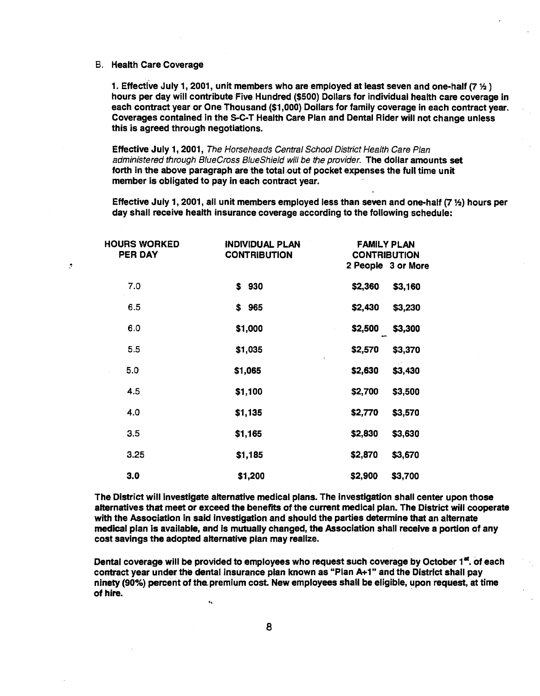### B. Health Care Coverage

ÿ,

1. Effective July 1, 2001, unit members who are employed at least seven and one-half (7  $\frac{1}{2}$ ) hours per day will contribute Five Hundred (\$500) Dollars for individual health care coverage in each contract year or One Thousand (\$1,000) Dollars for family coverage in each contract year. Coverages contained in the S-GT Health Care Plan and Dental Rider will not change unless this is agreed through negotiations.

**Effective July 1, 2001, The Horseheads Central School District Health Care Plan** administered through BlueCross BlueShield will be the provider. The dollar amounts **set**  forth in the above paragraph are the total out of pocket expenses the full time unit member is obligated to pay in each contract year.

Effective July 1,2001, all unit members employed less than seven and one-half (7 **W)** hours per day shall receive health insurance coverage according to the following schedule:

| HOURS WORKED<br>PER DAY | <b>INDIVIDUAL PLAN</b><br><b>CONTRIBUTION</b> | <b>FAMILY PLAN</b><br><b>CONTRIBUTION</b> |
|-------------------------|-----------------------------------------------|-------------------------------------------|
|                         |                                               | 2 People 3 or More                        |
| 7.0                     | \$930                                         | \$2,360<br>\$3,160                        |
| 6.5                     | \$965                                         | \$2,430<br>\$3,230                        |
| 6.0                     | \$1,000                                       | \$2,500<br>\$3,300                        |
| 5.5                     | \$1,035                                       | \$2,570<br>\$3,370                        |
| 5.0                     | \$1,065                                       | \$2,630<br>\$3,430                        |
| 4.5                     | \$1,100                                       | \$2,700<br>\$3,500                        |
| 4.0                     | \$1,135                                       | \$2,770<br>\$3,570                        |
| 3.5                     | \$1,165                                       | \$2,830<br>\$3,630                        |
| 3.25                    | \$1,185                                       | \$2,870<br>\$3,670                        |
| 3.0                     | \$1,200                                       | \$3,700<br>\$2,900                        |

The District will Investigate alternative medical plans. The investigation shall center upon those alternatives that meet or exceed the benefrts of the current medical plan. The District will cooperate with the Association in said investigation and should the parties determine that an alternate medical plan is available, and is mutually changed, the Association shall receive a portion of any cost savings the adopted alternative plan may realize.

Dental coverage will be provided to employees who request such coverage by October  $1^{\alpha}$ , of each contract year under the dental insurance plan known as "Plan A+1" and the District shall pay ninety (90%) percent of the premium cost. New employees shall be eligible, upon request, at time of hire.

8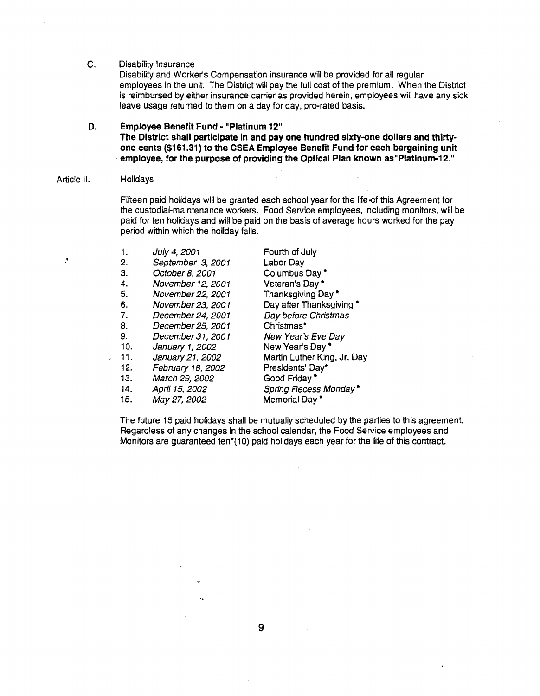# C. Disability Insurance

Disability and Worker's Compensation insurance will be provided for all regular employees in the unit. The District will pay the full cost of the premium. When the District is reimbursed by either insurance carrier as provided herein, employees will have any sick leave usage returned to them on a day for day, pro-rated basis.

**D. Employee Benefit Fund** - **"Platinum 12" The District shall participate in and pay one hundred sixty-one dollars and thirtyone cents (\$161.31) to the CSEA Employee Benefit Fund for each bargaining unit**  employee, for the purpose of providing the Optical Plan known as "Platinum-12."

## Article 11. Holidays

ķ,

Fifteen paid holidays will be granted each school year for the life of this Agreement for the custodial-maintenance workers. Food Service employees, including monitors, will be paid for ten holidays and will be paid on the basis of average hours worked for the pay period within which the holiday falls.

- July 4, 2001 1.
- 2. September 3, 2001
- 3. October 8,2001
- 4. November 12,2001
- 5. November 22,2001
- November 23, 2001 6.
- 7. December 24, 2001
- 8. December 25, 2001
- 9. December 31, 2001
- $10.$ January 1,2002
- $11.$ January 21, 2002
- $12.$ February 18,2002
- 
- $13.$ March 29, 2002
- $14.$ April 15, 2002
- $15.$ May 27, 2002

Fourth of July Labor Day Columbus Day Veteran's Day \* Thanksgiving Day Day after Thanksgiving \* Day before Christmas Christmas\* New Year's Eve Day New Year's Day \* Martin Luther King, Jr. Day Presidents' Day\* Good Friday Spring Recess Monday Memorial Day<sup>\*</sup>

The future 15 paid holidays shall be mutually scheduled by the parties to this agreement. Regardless of any changes in the school calendar, the Food Service employees and Monitors are quaranteed ten $(10)$  paid holidays each year for the life of this contract.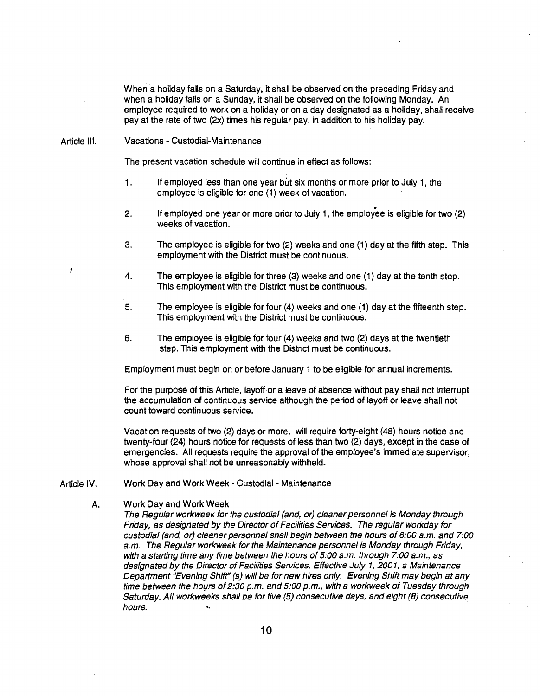When'a holiday falls on a Saturday, it shall be observed on the preceding Friday and when a holiday falls on a Sunday, it shall be observed on the following Monday. An employee required to work on a holiday or on a day designated as a holiday, shall receive pay at the rate of two **(2x)** times his regular pay, in addition to his holiday pay.

Article Ill. Vacations - Custodial-Maintenance

 $\mathcal{I}$ 

The present vacation schedule will continue in effect as follows:

- **1.** If employed less than one year but six months or more prior to July **1,** the employee is eligible for one **(1)** week of vacation.
- **2.** If employed one year or more prior to July **I,** the employ'ee is eligible for two **(2)**  weeks of vacation.
- **3.** The employee is eligible for two **(2)** weeks and one (1) day at the fifth step. This employment with the District must be continuous.
- **4.** The employee is eligible for three **(3)** weeks and one **(1)** day at the tenth step. This employment with the District must be continuous.
- **5.** The employee is eligible for four **(4)** weeks and one **(1)** day at the fifteenth step. This employment with the District must be continuous.
- **6.** The employee is eligible for four **(4)** weeks and two **(2)** days at the twentieth step. This employment with the District must be continuous.

Employment must begin on or before January **1** to be eligible for annual increments.

For the purpose of this Article, layoff or a leave of absence without pay shall not interrupt the accumulation of continuous service although the period of layoff or leave shall not count toward continuous service.

Vacation requests of two **(2)** days or more, will require forty-eight **(48)** hours notice and twenty-four **(24)** hours notice for requests of less than two **(2)** days, except in the case of emergencies. All requests require the approval of the employee's immediate supervisor, whose approval shall not be unreasonably withheld.

- Article IV. Work Day and Work Week Custodial Maintenance
	- A. Work Day and Work Week

The Regular workweek for the custodial (and, or) cleaner personnel is Monday through Friday, as designated by the Director of Facilities Services. The regular workday for custodial (and, or) cleaner personnel shall begin between the hours of 6-00 a.m. and 7:00 a.m. The Regular workweek for the Maintenance personnel is Monday through Friday, with a starting time any time between the hours of 5:00 a.m. through 7:00 a.m., as designated by the Director of Facilities Services. Effective July 1, 2001, a Maintenance Department "Evening Shift" (s) will be for new hires only. Evening Shift may begin at any time between the hours of2:30 p.m. and 500 **p.m.,** with a workweek of Tuesday through Saturday. All workweeks shall be for five (5) consecutive days, and eight (8) consecutive hours.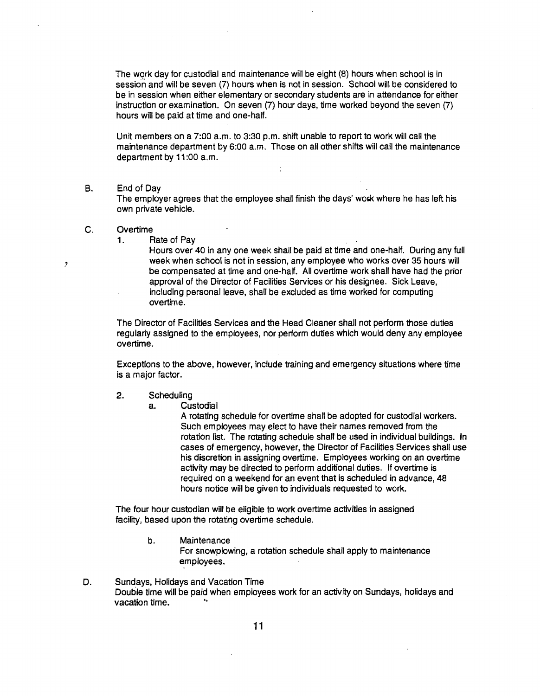The work day for custodial and maintenance will be eight (8) hours when school is in session and will be seven (7) hours when is not in session. School will be considered to be in session when either elementary or secondary students are in attendance for either instruction or examination. On seven (7) hour days, time worked beyond the seven (7) hours will be paid at time and one-half.

Unit members on a 7:00 a.m. to 3:30 p.m. shift unable to report to work will call the maintenance department by 6:00 a.m. Those on all other shifts will call the maintenance department by 11:00 a.m.

# **0.** End of Day

The employer agrees that the employee shall finish the days' work where he has left his own private vehicle.

 $C<sub>1</sub>$ **Overtime** 

÷,

1. Rate of Pay

Hours over 40 in any one week shall be paid at time and one-half. During any full week when school is not in session, any employee who works over 35 hours will be compensated at time and one-half. All overtime work shall have had the prior approval of the Director of Facilities Services or his designee. Sick Leave, including personal leave, shall be excluded as time worked for computing overtime.

The Director of Facilities Services and the Head Cleaner shall not perform those duties regularly assigned to the employees, nor perform duties which would deny any employee overtime.

Exceptions to the above, however, include training and emergency situations where time is a major factor.

#### $2.$ **Scheduling**

a. Custodial

A rotating schedule for overtime shall be adopted for custodial workers. Such employees may elect to have their names removed from the rotation list. The rotating schedule shall be used in individual buildings. In cases of emergency, however, the Director of Facilities Services shall use his discretion in assigning overtime. Employees working on an overtime activity may be directed to perform additional duties. If overtime is required on a weekend for an event that is scheduled in advance, 48 hours notice will be given to individuals requested to work.

The four hour custodian will be eligible to work overtime activities in assigned facility, based upon the rotating overtime schedule.

## b. Maintenance

For snowplowing, a rotation schedule shall apply to maintenance employees.

D. Sundays, Holidays and Vacation Time Double time will be paid when employees work for an activity on Sundays, holidays and vacation time.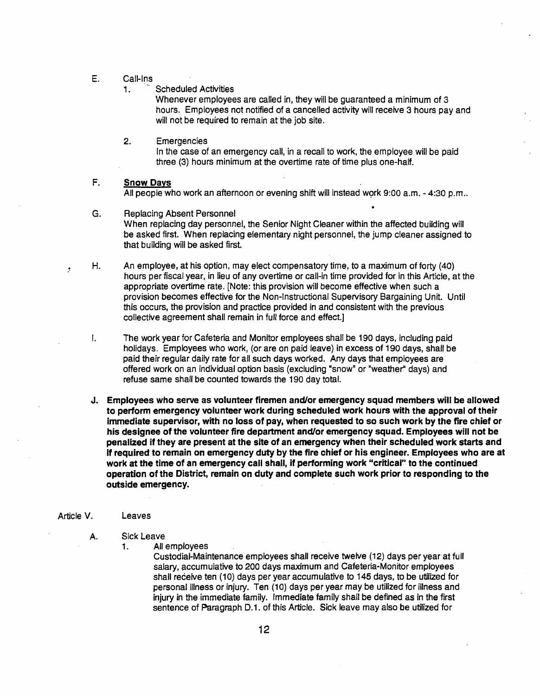- E. Call-Ins
	- 1. Scheduled Activities

Whenever employees are called in, they will be guaranteed a minimum of 3 hours. Employees not notified of a cancelled activity will receive 3 hours pay and will not be required to remain at the job site.

2. Emergencies

In the case of an emergency call, in a recall to work, the employee will be paid three (3) hours minimum at the overtime rate of time plus one-half.

# F. Snow Davs

- All people who work an afternoon or evening shift will instead work 9:00 a.m. 4:30 p.m.. . G. Replacing Absent Personnel When replacing day personnel, the Senior Night Cleaner within the affected building will be asked first. When replacing elementary night personnel, the jump cleaner assigned to that building will be asked first.
- H. An employee, at his option, may elect compensatory time, to a maximum of forty (40) hours per fiscal year, in lieu of any overtime or call-in time provided for in this Article, at the appropriate overtime rate. [Note: this provision will become effective when such a provision becomes effective for the Non-Instructional Supervisory Bargaining Unit. Until this occurs, the provision and practice provided in and consistent with the previous collective agreement shall remain in full force and effect.]

1. The work year for Cafeteria and Monitor employees shall be 190 days, including paid holidays. Employees who work, (or are on paid leave) in excess of 190 days, shall be paid their regular daily rate for all such days worked. Any days that employees are offered work on an individual option basis (excluding "snow"or "weather" days) and refuse same shall be counted towards the 190 day total.

- J. Employees who serve as volunteer firemen and/or emergency squad members will be allowed to perform emergency volunteer work during scheduled work hours with the approval of their immediate supervisor, with no loss of pay, when requested to so such work by the fire chief or his designee of the volunteer fire department and/or emergency squad. Employees will not be penalized if they are present at the site of an emergency when their scheduled work starts and if required to remain on emergency duty by the fire chief or his engineer. Employees who are at work at the time of an emergency call shall, if performing work "critical" to the continued operation of the District, remain on duty and complete such work prior to responding to the outside emergency.
- Article V. Leaves

 $\hat{\mathcal{I}}$ 

A. Sick Leave

1. All employees

Custodial-Maintenance employees shall receive twelve (12) days per year at full salary, accumulative to 200 days maximum and Cafeteria-Monitor employees shall receive ten (10) days per year accumulative to 145 days, to be utilized for personal illness or injury. Ten (10) days per year may be utilized for illness and injury in the immediate family. Immediate family shall be defined as in the first sentence of Paragraph D.1. of this Article. Sick leave may also be utilized for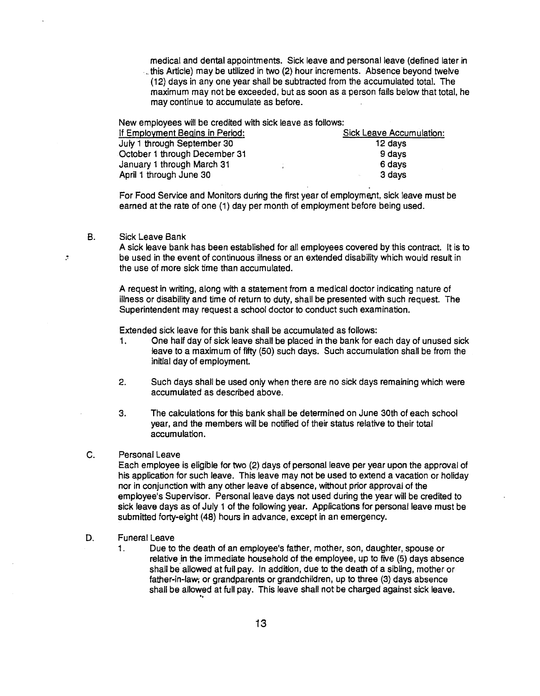medical and dental appointments. Sick leave and personal leave (defined later in ... this Article) may be utilized in two (2) hour increments. Absence beyond twelve (12) days in any one year shall be subtracted from the accumulated total. The maximum may not be exceeded, but as soon as a person falls below that total, he may continue to accumulate as before.

New employees will be credited with sick leave as follows:

| If Employment Begins in Period: | Sick Leave Accumulation: |
|---------------------------------|--------------------------|
| July 1 through September 30     | 12 days                  |
| October 1 through December 31   | 9 days                   |
| January 1 through March 31      | 6 days                   |
| April 1 through June 30         | 3 days                   |

For Food Service and Monitors during the first year of employment, sick leave must be earned at the rate of one (1) day per month of employment before being used.

# **B.** Sick Leave Bank

 $\mathcal{I}$ 

A sick leave bank has been established for all employees covered by this contract. It is to be used in the event of continuous illness or an extended disability which would result in the use of more sick time than accumulated.

A request in writing, along with a statement from a medical doctor indicating nature of illness or disability and time of return to duty, shall be presented with such request. The Superintendent may request a school doctor to conduct such examination.

Extended sick leave for this bank shall be accumulated as follows:

- 1. One half day of sick leave shall be placed in the bank for each day of unused sick leave to a maximum of fifty (50) such days. Such accumulation shall be from the initial day of employment.
- **2.** Such days shall be used only when there are no sick days remaining which were accumulated as described above.
- **3.** The calculations for this bank shall be determined on June 30th of each school year, and the members will be notified of their status relative to their total accumulation.

# C. Personal Leave

Each employee is eligible for two (2) days of personal leave per year upon the approval of his application for such leave. This leave may not be used to extend a vacation or holiday nor in conjunction with any other leave of absence, without prior approval of the employee's Supervisor. Personal leave days not used during the year will be credited to sick leave days as of July 1 of the following year. Applications for personal leave must be submitted forty-eight (48) hours in advance, except in an emergency.

# D. Funeral Leave

1. Due to the death of an employee's father, mother, son, daughter, spouse or relative in the immediate household of the employee, up to five (5) days absence shall be allowed at full pay. In addition, due to the death of a sibling, mother or father-in-law, or grandparents or grandchildren, up to three (3) days absence shall be allowed at full pay. This leave shall not be charged against sick leave.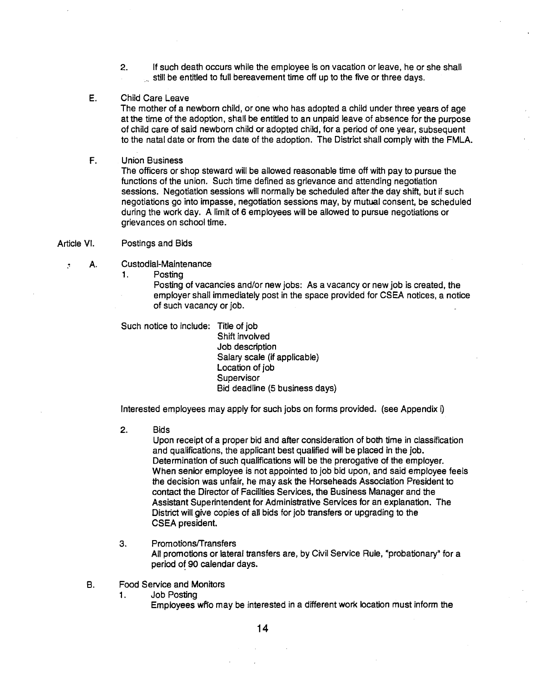- **2.** If such death occurs while the employee is on vacation or leave, he or she shall still be entitled to full bereavement time off up to the five or three days.
- E. Child Care Leave

The mother of a newborn child, or one who has adopted a child under three years of age at the time of the adoption, shall be entitled to an unpaid leave of absence for the purpose of child care of said newborn child or adopted child, for a period of one year, subsequent to the natal date or from the date of the adoption. The District shall comply with the FMLA.

F. Union Business

The officers or shop steward will be allowed reasonable time off with pay to pursue the functions of the union. Such time defined as grievance and attending negotiation sessions. Negotiation sessions will normally be scheduled after the day shift, but if such negotiations go into impasse, negotiation sessions may, by mutual consent, be scheduled during the work day. A limit of 6 employees will be allowed to pursue negotiations or grievances on school time.

- Article VI. Postings and Bids
	- . A. Custodial-Maintenance
		- 1. Posting
			- Posting of vacancies and/or new jobs: As a vacancy or new job is created, the employer shall immediately post in the space provided for CSEA notices, a notice of such vacancy or job.

Such notice to include: Title of job

Shift involved Job description Salary scale (if applicable) Location of job **Supervisor** Bid deadline (5 business days)

Interested employees may apply for such jobs on forms provided. (see Appendix i)

2. Bids

Upon receipt of a proper bid and after consideration of both time in classification and qualifications, the applicant best qualified will be placed in the job. Determination of such qualifications will be the prerogative of the employer. When senior employee is not appointed to job bid upon, and said employee feels the decision was unfair, he may ask the Horseheads Association President to contact the Director of Facilities Services, the Business Manager and the Assistant Superintendent for Administrative Services for an explanation. The District will give copies of all bids for job transfers or upgrading to the CSEA president.

3. Promotions/Transfers

All promotions or lateral transfers are, by Civil Service Rule, "probationary" for a period of 90 calendar days.

- B. Food Service and Monitors
	- 1. Job Posting

Employees wfio may be interested in a different work location must inform the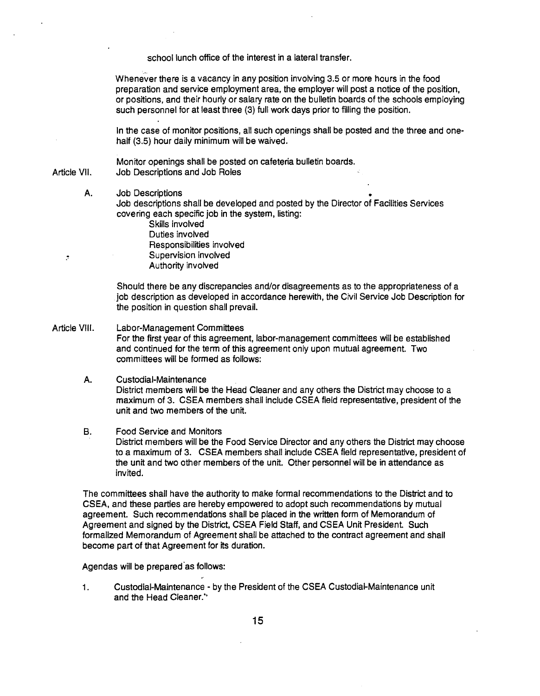school lunch office of the interest in a lateral transfer.

whenever there is a vacancy in any position involving 3.5 or more hours in the food preparation and service employment area, the employer will post a notice of the position, or positions, and their hourly or salary rate on the bulletin boards of the schools employing such personnel for at least three (3) full work days prior to filling the position.

In the case of monitor positions, all such openings shall be posted and the three and onehalf (3.5) hour daily minimum will be waived.

Monitor openings shall be posted on cafeteria bulletin boards. Job Descriptions and Job Roles

#### A. Job Descriptions

Article VII.

 $\tau$ 

Job descriptions shall be developed and posted by the Director of Facilities Services covering each specific job in the system, listing:

> Skills involved Duties involved Responsibilities involved Supervision involved Authority involved

Should there be any discrepancies and/or disagreements as to the appropriateness of a job description as developed in accordance herewith, the Civil Service Job Description for the position in question shall prevail.

#### Article VIII. Labor-Management Committees For the first year of this agreement, labor-management committees will be established and continued for the term of this agreement only upon mutual agreement. Two committees will be formed as follows:

#### A. Custodial-Maintenance District members will be the Head Cleaner and any others the District may choose to a maximum of 3. CSEA members shall include CSEA field representative, president of the unit and two members of the unit.

#### **6.**  Food Service and Monitors

District members will be the Food Service Director and any others the District may choose to a maximum of 3. CSEA members shall include CSEA field representative, president of the unit and two other members of the unit. Other personnel will be in attendance as invited.

The committees shall have the authority to make formal recommendations to the District and to CSEA, and these parties are hereby empowered to adopt such recommendations by mutual agreement. Such recommendations shall be placed in the written form of Memorandum of Agreement and signed by the District, CSEA Field Staff, and CSEA Unit President. Such formalized Memorandum of Agreement shall be attached to the contract agreement and shall become part of that Agreement for its duration.

Agendas will be prepared'as follows:

1. Custodial-Maintenance - by the President of the CSEA Custodial-Maintenance unit and the Head Cleaner."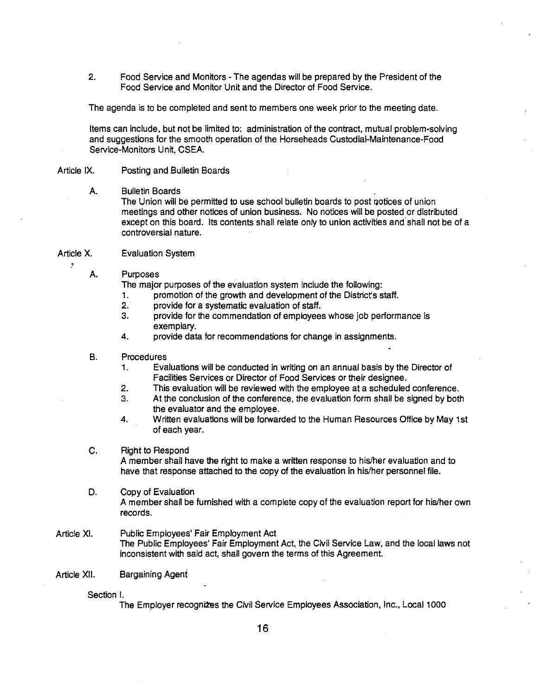**2.** Food Service and Monitors -The agendas will be prepared by the President of the Food Service and Monitor Unit and the Director of Food Service.

The agenda is to be completed and sent to members one week prior to the meeting date.

Items can include, but not be limited to: administration of the contract, mutual problem-solving and suggestions for the smooth operation of the Horseheads Custodial-Maintenance-Food Service-Monitors Unit, CSEA.

# Article IX. Posting and Bulletin Boards

## A. Bulletin Boards

The Union will be permitted to use school bulletin boards to post notices of union meetings and other notices of union business. No notices will be posted or distributed except on this board. Its contents shall relate only to union activities and'shall not be of a controversial nature.

Article X. Evaluation System

 $\mathcal{I}$ 

A. Purposes

The major purposes of the evaluation system include the following:

- 1. promotion of the growth and development of the District's staff.
- **2.** provide for a systematic evaluation of staff.
- **3.** provide for the commendation of employees whose job performance is exemplary.
- **4.** provide data for recommendations for change in assignments.

# B. Procedures

- 1. Evaluations will be conducted in writing on an annual basis by the Director of Facilities Services or Director of Food Services or their designee.
- **2.** This evaluation will be reviewed with the employee at a scheduled conference.
- **3.** At the conciusion of the conference, the evaluation form shall be signed by both the evaluator and the employee.
- **4.** Written evaluations will be forwarded to the Human Resources Office by May 1st of each year.
- C. Right to Respond A member shall have the right to make a written response to his/her evaluation and to have that response attached to the copy of the evaluation in his/her personnel file.
- D. Copy of Evaluation A member shall be furnished with a complete copy of the evaluation report for his/her own records.
- Article XI. Public Employees' Fair Employment Act The Public Employees' Fair Employment Act, the Civil Service Law, and the local laws not inconsistent with said act, shall govern the terms of this Agreement.

# Article Xll. Bargaining Agent

Section I.

The Employer recognizes the Civil Service Employees Association, Inc., Local 1000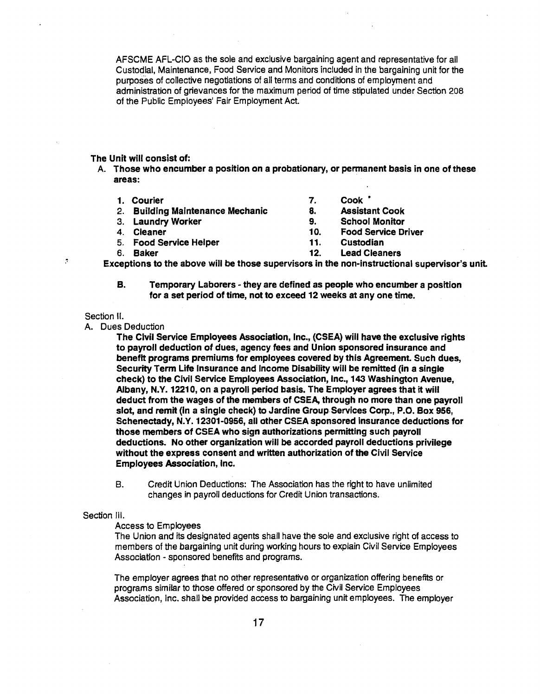AFSCME AFL-CIO as the sole and exclusive bargaining agent and representative for all Custodial, Maintenance, Food Service and Monitors included in the bargaining unit for the purposes of collective negotiations of all terms and conditions of employment and administration of grievances for the maximum period of time stipulated under Section 208 of the Public Employees' Fair Employment Act.

The Unit will consist of:

- A. Those who encumber a position on a probationary, or permanent basis in one of these areas:
	-
	- 2. Building Maintenance Mechanic 8. Assistant Cook
	- 3. Laundry Worker 1988 (School Monitor 1988)<br>10. School Service Dress (School Service Dress 10. School Service Dress (School Service Dress 1999)
	-
	- 5. Food Service Helper 11. Custodian
	- 1. Courier 7. Cook '
		-
		-
		- 10. Food Service Driver
		-
	- 6. Baker 12. Lead Cleaners

Exceptions to the above will be those supervisors in the non-instructional supervisor's unit

B. Temporary Laborers - they are defined as people who encumber a position for a set period of time, not to exceed 12 weeks **at** any one time.

Section II.

 $\hat{\mathcal{I}}$ 

A. Dues Deduction

The Civil Service Employees Association, Inc., (CSEA) will have the exclusive rights to payroll deduction of dues, agency fees and Union sponsored insurance and benefit programs premiums for employees covered by this Agreement. Such dues, Security Term Life Insurance and Income Disability will be remitted (in a single check) to the Civil Service Employees Association, Inc., 143 Washington Avenue, Albany, N.Y. 1221 0, on a payroll period basis. The Employer agrees that it will deduct from the wages of the members of CSEA, through no more than one payroll slot, and remit (in a single check) to Jardine Group Services Corp., P.O. Box 956, Schenectady, N.Y. 12301-0956, all other CSEA sponsored insurance deductions for those members of CSEA who sign authorizations permitting such payroll deductions. No other organization will be accorded payroll deductions privilege without the express consent and written authorization of the Civil Service Employees Association, Inc.

**B.** Credit Union Deductions: The Association has the right to have unlimited changes in payroll deductions for Credit Union transactions.

### Section III.

Access to Employees

The Union and its designated agents shall have the sole and exclusive right of access to members of the bargaining unit during working hours to explain Civil Service Employees Association - sponsored benefits and programs.

The employer agrees that no other representative or organization offering benefits or programs similar to those offered or sponsored by the Civil Service Employees Association, Inc. shall be provided access to bargaining unit employees. The employer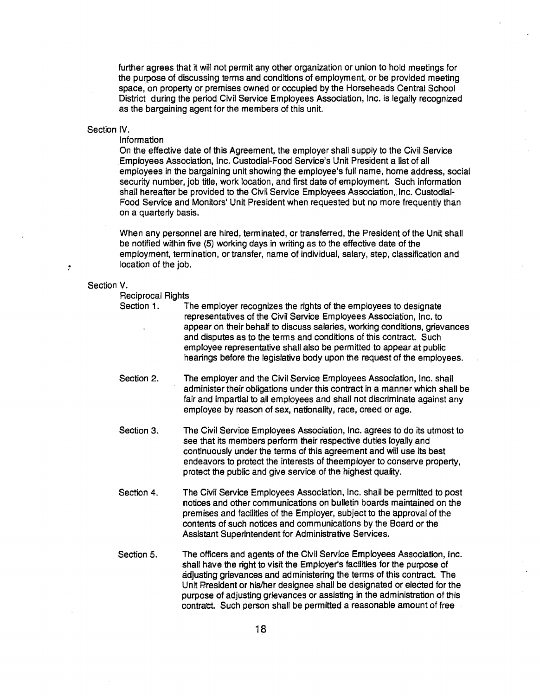further agrees that it will not permit any other organization or union to hold meetings for the purpose of discussing terms and conditions of employment, or be provided meeting space, on property or premises owned or occupied by the Horseheads Central School District during the period Civil Service Employees Association, Inc. is legally recognized as the bargaining agent for the members of this unit.

# Section IV.

Information

On the effective date of this Agreement, the employer shall supply to the Civil Service Employees Association, Inc. Custodial-Food Service's Unit President a list of all employees in the bargaining unit showing the employee's full name, home address, social security number, job title, work location, and first date of employment. Such information shall hereafter be provided to the Civil Service Employees Association,. Inc. Custodial-Food Service and Monitors' Unit President when requested but no more frequently than on a quarterly basis.

When any personnel are hired, terminated, or transferred, the President of the Unit shall be notified within five (5) working days in writing as to the effective date of the employment, termination, or transfer, name of individual, salary, step, classification and location of the job.

### Section V.

 $\ddot{\phantom{1}}$ 

**Reciprocal Rights** 

| Section 1. | The employer recognizes the rights of the employees to designate<br>representatives of the Civil Service Employees Association, Inc. to<br>appear on their behalf to discuss salaries, working conditions, grievances<br>and disputes as to the terms and conditions of this contract. Such<br>employee representative shall also be permitted to appear at public<br>hearings before the legislative body upon the request of the employees. |
|------------|-----------------------------------------------------------------------------------------------------------------------------------------------------------------------------------------------------------------------------------------------------------------------------------------------------------------------------------------------------------------------------------------------------------------------------------------------|
|            |                                                                                                                                                                                                                                                                                                                                                                                                                                               |

- Section 2. The employer and the Civil Service Employees Association, Inc. shall administer their obligations under this contract in a manner which shall be fair and impartial to all employees and shall not discriminate against any employee by reason of sex, nationality, race, creed or age.
- Section 3. The Civil Service Employees Association, Inc. agrees to do its utmost to see that its members perform their respective duties loyally and continuously under the terms of this agreement and will use its best endeavors to protect the interests of theemployer to conserve property, protect the public and give service of the highest quality.
- Section 4. The Civil Service Employees Association, Inc. shall be permitted to post notices and other communications on bulletin boards maintained on the premises and facilities of the Employer, subject to the approval of the contents of such notices and communications by the Board or the Assistant Superintendent for Administrative Services.
- Section 5. The officers and agents of the Civil Service Employees Association, Inc. shall have the right to visit the Employer's facilities for the purpose of adjusting grievances and administering the terms of this contract. The Unit President or his/her designee shall be designated or elected for the purpose of adjusting grievances or assisting in the administration of this contract. Such person shall be permitted a reasonable amount of free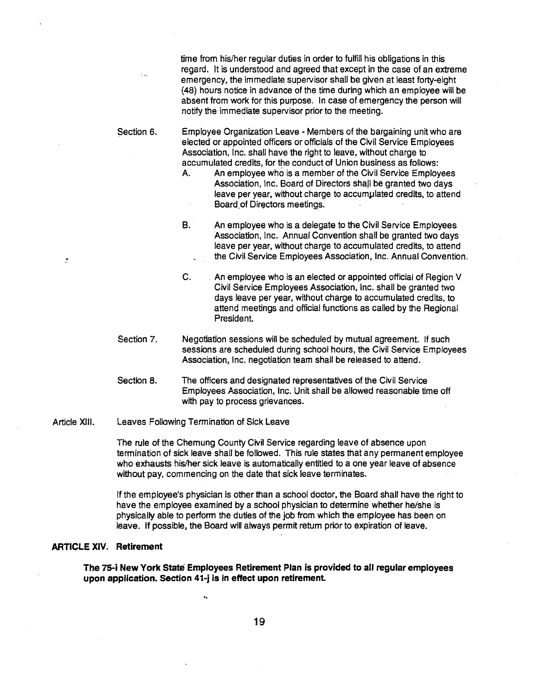time from his/her regular duties in order to fulfill his obligations in this regard. It is understood and agreed that except in the case of an extreme emergency, the immediate supervisor shall be given at least forty-eight (48) hours notice in advance of the time during which an employee will be absent from work for this purpose. In case of emergency the person will notify the immediate supervisor prior to the meeting.

tic.

Section 6. Employee Organization Leave - Members of the bargaining unit who are elected or appointed officers or officials of the Civil Service Employees Association, Inc. shall have the right to leave, without charge to accumulated credits, for the conduct of Union business as follows:

- An employee who is a member of the Civil Service Employees Association, Inc. Board of Directors shall be granted two days leave per year, without charge to accumplated credits, to attend Board-of Directors meetings.
- B. An employee who is a delegate to the Civil Service Employees Association, Inc. Annual Convention shall be granted two days leave per year, without charge to accumulated credits, to attend the Civil Service Employees Association, Inc. Annual Convention.
- C. An employee who is an elected or appointed official of Region V Civil Service Employees Association, Inc. shall be granted two days leave per year, without charge to accumulated credits, to attend meetings and official functions as called by the Regional President
- Section 7. Negotiation sessions will be scheduled by mutual agreement. If such sessions are scheduled during school hours, the Civil Service Employees Association, Inc. negotiation team shall be released to attend.
- Section 8. The officers and designated representatives of the Civil Service Employees Association, Inc. Unit shall be allowed reasonable time off with pay to process grievances.
- Article XIII. Leaves Following Termination of Sick Leave

The rule of the Chemung County Civil Service regarding leave of absence upon termination of sick leave shall be followed. This rule states that any permanent employee who exhausts his/her sick leave is automatically entitled to a one year leave of absence without pay, commencing on the date that sick leave terminates.

If the employee's physician is other than a school doctor, the Board shall have the right to have the employee examined by a school physician to determine whether he/she is physically able to perform the duties of the job from which the employee has been on leave. If possible, the Board will always permit retum prior to expiration of leave.

# **ARTICLE XIV. Retirement**

Ĵ.

**The 754 New York State' Employees Retirement Plan is provided to all regular employees upon application. Section 41-j is in effect upon retirement**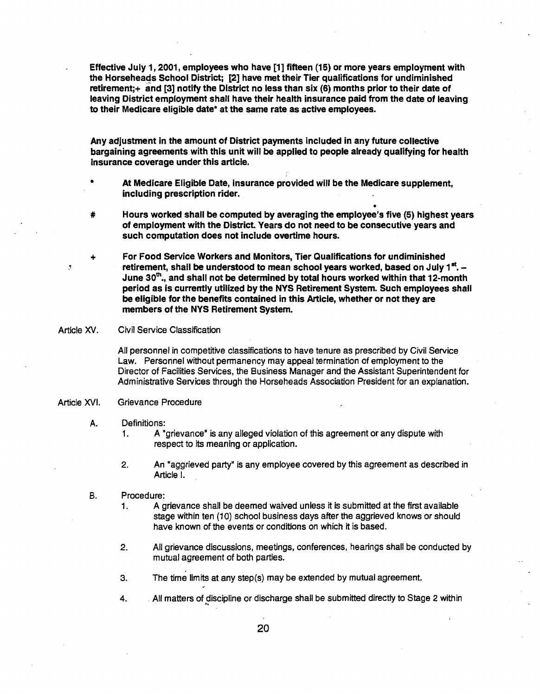Effective July 1, 2001, employees who have [1] fifteen (15) or more years employment with the Horseheads School District; [2] have met their Tier qualifications for undiminished retirement;+ and [3] notify the District no less than six (6) months prior to their date of leaving District employment shall have their health insurance paid from the date of leaving to their Medicare eligible date\* at the same rate as active employees.

Any adjustment in the amount of District payments included in any future collective bargaining agreements with this unit will **be** applied to people already qualifying for health insurance coverage under this article.

- At Medicare Eligible Date, insurance provided will be the Medicare supplement, including prescription rider.
- # Hours worked shall be computed by averaging the employee's five (5) highest years of employment with the District Years do not need to be consecutive years and such computation does not include overtime hours.

+ For Food Service Workers and Monitors, Tier Qualifications for undiminished retirement, shall be understood to mean school years worked, based on July 1<sup>st</sup>. -June  $30<sup>th</sup>$ , and shall not be determined by total hours worked within that 12-month period as is currently utilized by the NYS Retirement System. Such employees shall be eligible for the benefits contained in this Article, whether or not they are members of the NYS Retirement System.

#### Article XV. Civil Service Classification

All personnel in competitive classifications to have tenure as prescribed by Civil Service Law. Personnel without permanency may appeal termination of employment to the Director of Facilities Services, the Business Manager and the Assistant Superintendent for Administrative Services through the Horseheads Association President for an explanation.

#### Article XVI. Grievance Procedure

#### A. Definitions:

- 1. A "grievance" is any alleged violation of this agreement or any dispute with respect to its meaning or application.
- **2.** An "aggrieved party" is any employee covered by this agreement as described in Article I.
- a. Procedure:
	- 1. A grievance shall be deemed waived unless it is submitted at the first available stage within ten (10) school business days after the aggrieved knows or should have known of the events or conditions on which **it** is based.
	- **2.** All grievance discussions, meetings, conferences, hearings shall be conducted by mutual agreement of both parties.
	- **3.** The time limits at any step(s) may be extended by mutual agreement.
	- **4.** All matters of discipline or discharge shall be submitted directly to Stage 2 within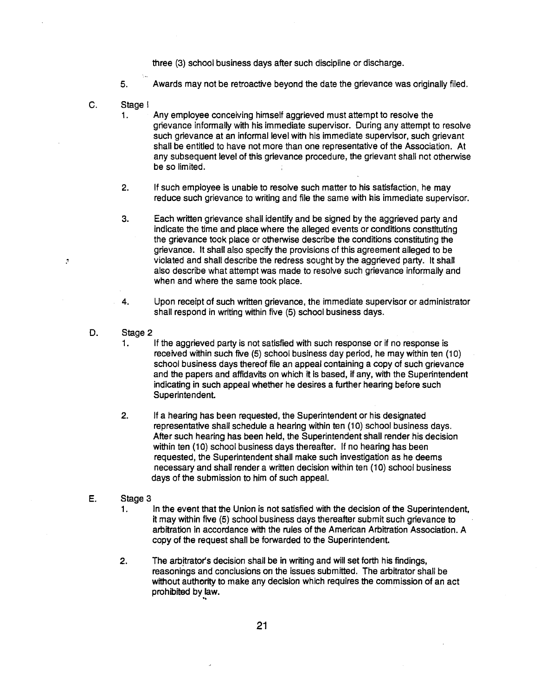three **(3)** school business days after such discipline or discharge.

- **5.** Awards may not be retroactive beyond the date the grievance was originally filed.
- C. Stage I<br>1.
	- Any employee conceiving himself aggrieved must attempt to resolve the grievance informally with his immediate supervisor. During any attempt to resolve such grievance at an informal level with his immediate supervisor, such grievant shall be entitled to have not more than one representative of the Association. At any subsequent level of this grievance procedure, the grievant shall not otherwise be so limited.
	- **2.** If such employee is unable to resolve such matter to his satisfaction, he may reduce such grievance to writing and file the same with his immediate supervisor.
	- **3.** Each written grievance shall identify and be signed by the aggrieved party and indicate the time and place where the alleged events or conditions constituting the grievance took place or otherwise describe the conditions constituting the grievance. It shall also specify the provisions of this agreement alleged to be violated and shall describe the redress sought by the aggrieved party. It shall also describe what attempt was made to resolve such grievance informally and when and where the same took place.
	- **4.** Upon receipt of such wriien grievance, the immediate supervisor or administrator shall respond in writing within fve **(5)** school business days.
- D. Stage 2

 $\mathcal{L}$ 

- **1.** If the aggrieved party is not satisfied with such response or if no response is received within such five **(5)** school business day period, he may within ten **(1** 0) school business days thereof file an appeal containing a copy of such grievance and the papers and affidavits on which it is based, if any, with the Superintendent indicating in such appeal whether he desires a further hearing before such Superintendent.
- 2. If a hearing has been requested, the Superintendent or his designated representative shall schedule a hearing within ten **(1 0)** school business days. After such hearing has been held, the Superintendent shall render his decision within ten **(10)** school business days thereafter. If no hearing has been requested, the Superintendent shall make such investigation as he deems necessary and shall render a written decision within ten **(10)** school business days of the submission to him of such appeal.
- E. Stage **3** 
	- **1.** In the event that the Union is not satisfied with the decision of the Superintendent, it may within fwe **(5)** school business days thereafter submit such grievance to arbitration in accordance with the rules of the American Arbitration Association. A copy of the request shall be forwarded to the Superintendent.
	- 2. The arbitrator's decision shall be in writing and will set forth his findings, reasonings and conclusions on the issues submitted. The arbitrator shall be without authority to make any decision which requires the commission of an act prohibited by law.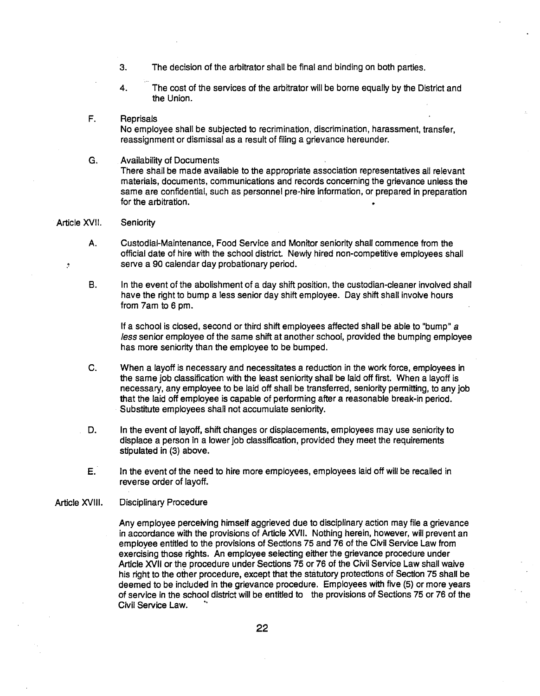- **3.** The decision of the arbitrator shall be final and binding on both parties.
- **4.** The cost of the services of the arbitrator will be borne equally by the District and the Union.

### F. **Reprisals** No employee shall be subjected to recrimination, discrimination, harassment, transfer, reassignment or dismissal as a result of filing a grievance hereunder.

G. Availability of Documents There shall be made available to the appropriate association representatives all relevant materials, documents, communications and records concerning the grievance unless the same are confidential, such as personnel pre-hire information, or prepared in preparation<br>for the arbitration.<br>Seniority

## Article XVII.

 $\ddot{\phantom{a}}$ 

- A. Custodial-Maintenance, Food Service and Monitor seniority shall commence from the official date of hire with the school district Newly hired non-competitive employees shall serve a 90 calendar day probationary period.
- **B.** In the event of the abolishment of a day shift position, the custodian-cleaner involved shall have the right to bump a less senior day shift employee. Day shift shall involve hours from 7am to 6 pm.

If a school is closed, second or third shift employees affected shall be able to "bump" a less senior employee of the same shift at another school, provided the bumping employee has more seniority than the employee to be bumped.

- C. When a layoff is necessary and necessitates a reduction in the work force, employees in the same job classification with the least seniority shall be laid off first. When a layoff is necessary, any employee to be laid off shall be transferred, seniority permitting, to any job that the laid off employee is capable of performing after a reasonable break-in period. Substitute employees shall not accumulate seniority.
- D. In the event of layoff, shift changes or displacements, employees may use seniority to displace a person in a lower job classification, provided they meet the requirements stipulated in (3) above.
- E. In the event of the need to hire more employees, employees laid off will be recalled in reverse order of layoff.

#### Article XVIII. Disciplinary Procedure

Any employee perceiving himself aggrieved due to disciplinary action may file a grievance in accordance with the provisions of Article XVII. Nothing herein, however, will prevent an employee entitled to the provisions of Sections 75 and 76 of the Civil Service Law from exercising those rights. An employee selecting either the grievance procedure under Article XVll or the procedure under Sections 75 or 76 of the Civil Service Law shall waive his right to the other procedure, except that the statutory protections of Section 75 shall be deemed to be included in the grievance procedure. Employees with five (5) or more years of service in the school district will be entitled to the provisions of Sections 75 or 76 of the Civil Service Law. "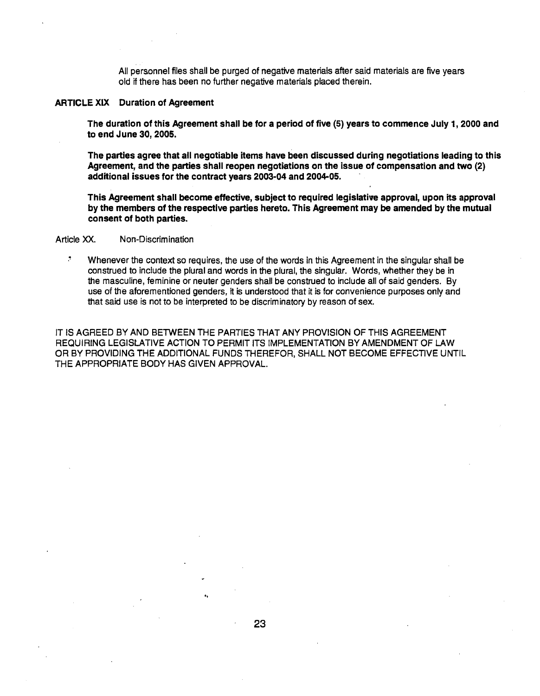All personnel files shall be purged of negative materials after said materials are five years old if there has been no further negative materials placed therein.

# **ARTICLE XIX Duration of Agreement**

The duration of this Agreement shall be for a period of five (5) years to commence July 1,2000 and to end June 30,2005.

The parties agree that all negotiable items have been discussed during negotiations leading to this Agreement, and the parties shall reopen negotiations on the issue of compensation and two (2) additional issues for the contract years 2003-04 and 2004-05.

This Agreement shall become effective, subject to required legislative approval, upon its approval by the members of the respective parties hereto. This Agreement may be amended by the mutual consent of both parties.

Article **XX.** Non-Discrimination

 $\tilde{\mathcal{F}}$ Whenever the context so requires, the use of the words in this Agreement in the singular shall be construed to include the plural and words in the plural, the singular. Words, whether they be in the masculine, feminine or neuter genders shall be construed to include all of said genders. By use of the aforementioned genders, it is understood that it is for convenience purposes only and that said use is not to be interpreted to be discriminatory by reason of sex.

IT IS AGREED BY AND BETWEEN THE PARTIES THAT ANY PROVISION OF THIS AGREEMENT REQUIRING LEGISLATIVE ACTION TO PERMIT ITS IMPLEMENTATION BY AMENDMENT OF LAW OR BY PROVIDING THE ADDITIONAL FUNDS THEREFOR, SHALL NOT BECOME EFFECTIVE UNTIL THE APPROPRIATE BODY HAS GIVEN APPROVAL.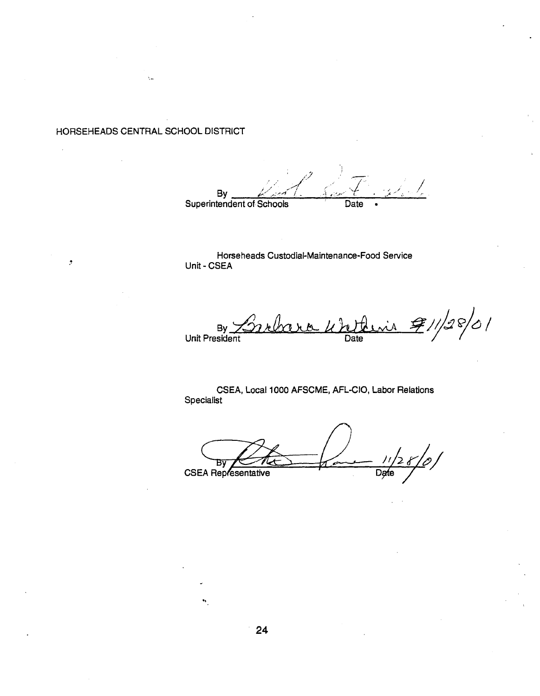# HORSEHEADS CENTRAL SCHOOL DISTRICT

 $\hat{z}$ 

By Superintendent of Schools Date

Horseheads Custodial-Maintenance-Food Service Unit - CSEA

Brehara Unitario 9/1/28/01 By<br>Unit President

CSEA, Local 1000 AFSCME, AFL-CIO, Labor Relations Specialist

 $128/0/$  $\mu$ Ħΰ  $D$ gre **CSEA Representative** 

24

 $\bullet_{\mathbf{t}}$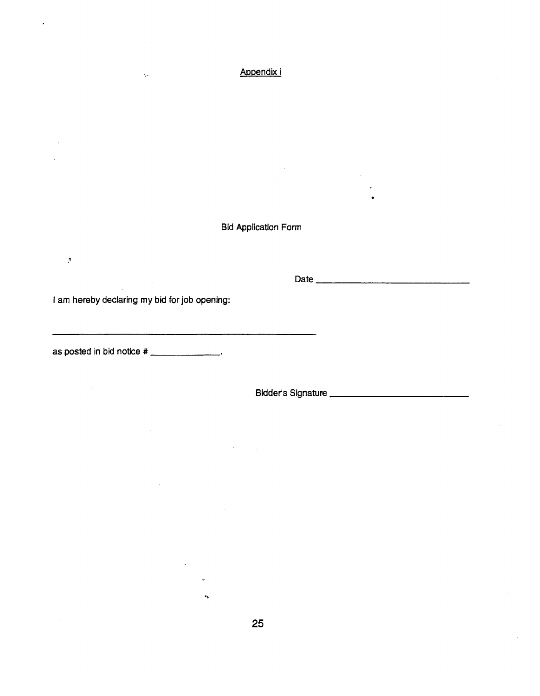# **Appendix** i

**Bid Application Form** 

<u> 1980 - Jan Barnett, mars et al estatubat et al estatubat et al estatubat et al estatubat et al estatubat et a</u>

 $\ddot{\phantom{a}}$ 

**Date** 

**I am hereby declaring my bid for job opening:** 

 $\tilde{\gamma}_{\rm{max}}$ 

 $\bar{z}$  $\bar{L}$ 

 $\mathcal{I}$ 

**as posted in bid notice** #

**Bidder's Signature** 

 $\ddot{\phantom{a}}$ 

 $\ddot{\phantom{0}}$ 

۰,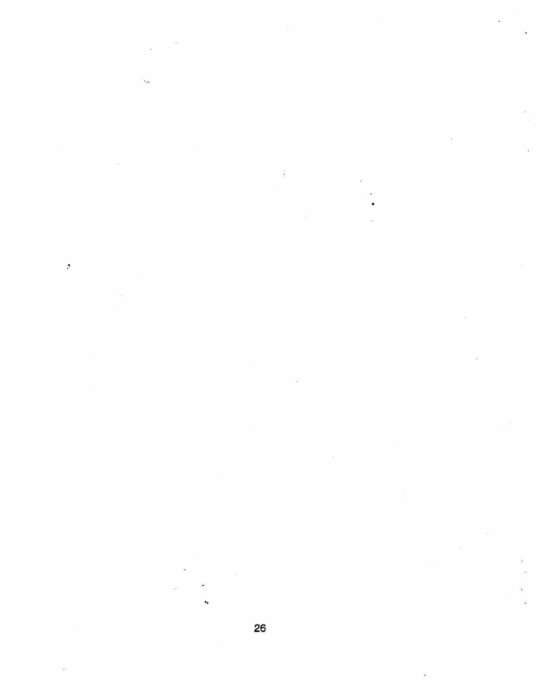.<br>Там

 $\hat{\mathcal{I}}$ 

ı,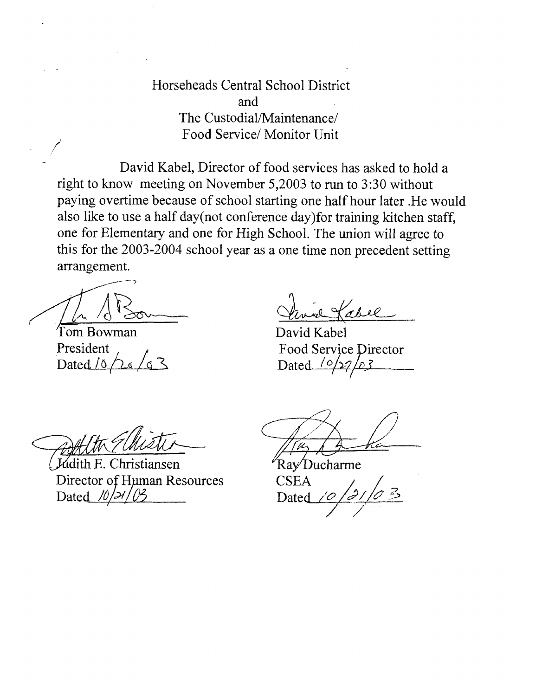Horseheads Central School District and The Custodial/Maintenance/ Food Service/ Monitor Unit

David Kabel, Director of food services has asked to hold a right to know meeting on November 5,2003 to run to 3:30 without paying overtime because of school starting one half hour later .He would also like to use a half day(not conference day)for training kitchen staff, one for Elementary and one for High School. The union will agree to this for the 2003-2004 school year as a one time non precedent setting arrangement. mgnt to know meeting on November 5,2003 to run to 3:30 without<br>paying overtime because of school starting one half hour later. He was<br>also like to use a half day(not conference day) for training kitchen sta<br>one for Element

Tom Bowman President Dated  $/6$ 

David Kabel Food Service Director<br>Dated  $\frac{\log 2}{\log 2}$ 

Júdith E. Christiansen Director of Human Resources Dated

Ray Ducharme

**CSEA** Dated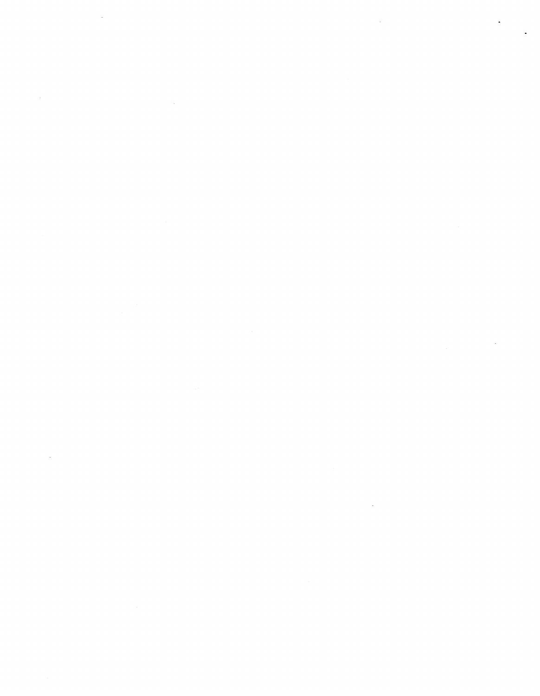$\frac{1}{2} \frac{1}{2} \frac{1}{2} \frac{1}{2}$  $\label{eq:2.1} \mathcal{L}(\mathcal{L}^{\mathcal{L}}_{\mathcal{L}}(\mathcal{L}^{\mathcal{L}}_{\mathcal{L}})) \leq \mathcal{L}(\mathcal{L}^{\mathcal{L}}_{\mathcal{L}}(\mathcal{L}^{\mathcal{L}}_{\mathcal{L}})) \leq \mathcal{L}(\mathcal{L}^{\mathcal{L}}_{\mathcal{L}}(\mathcal{L}^{\mathcal{L}}_{\mathcal{L}}))$  $\mathcal{L}(\mathcal{A})$  $\ddot{\phantom{0}}$  $\label{eq:2.1} \frac{1}{\sqrt{2}}\sum_{i=1}^n\frac{1}{\sqrt{2}}\sum_{i=1}^n\frac{1}{\sqrt{2}}\sum_{i=1}^n\frac{1}{\sqrt{2}}\sum_{i=1}^n\frac{1}{\sqrt{2}}\sum_{i=1}^n\frac{1}{\sqrt{2}}\sum_{i=1}^n\frac{1}{\sqrt{2}}\sum_{i=1}^n\frac{1}{\sqrt{2}}\sum_{i=1}^n\frac{1}{\sqrt{2}}\sum_{i=1}^n\frac{1}{\sqrt{2}}\sum_{i=1}^n\frac{1}{\sqrt{2}}\sum_{i=1}^n\frac$  $\label{eq:2.1} \frac{1}{\sqrt{2}}\int_{\mathbb{R}^3}\frac{1}{\sqrt{2}}\left(\frac{1}{\sqrt{2}}\right)^2\frac{1}{\sqrt{2}}\left(\frac{1}{\sqrt{2}}\right)^2\frac{1}{\sqrt{2}}\left(\frac{1}{\sqrt{2}}\right)^2\frac{1}{\sqrt{2}}\left(\frac{1}{\sqrt{2}}\right)^2.$  $\label{eq:2.1} \frac{1}{2} \sum_{i=1}^n \frac{1}{2} \sum_{j=1}^n \frac{1}{2} \sum_{j=1}^n \frac{1}{2} \sum_{j=1}^n \frac{1}{2} \sum_{j=1}^n \frac{1}{2} \sum_{j=1}^n \frac{1}{2} \sum_{j=1}^n \frac{1}{2} \sum_{j=1}^n \frac{1}{2} \sum_{j=1}^n \frac{1}{2} \sum_{j=1}^n \frac{1}{2} \sum_{j=1}^n \frac{1}{2} \sum_{j=1}^n \frac{1}{2} \sum_{j=1}^n \frac{$